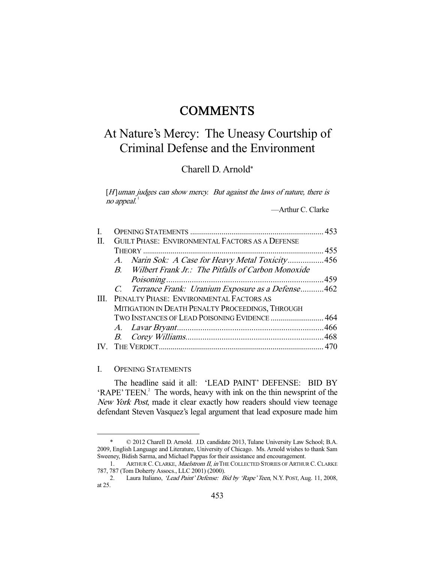# **COMMENTS**

# At Nature's Mercy: The Uneasy Courtship of Criminal Defense and the Environment

Charell D. Arnold\*

 $[H]$ uman judges can show mercy. But against the laws of nature, there is no appeal. $1$ 

—Arthur C. Clarke

| Н. | <b>GUILT PHASE: ENVIRONMENTAL FACTORS AS A DEFENSE</b> |  |
|----|--------------------------------------------------------|--|
|    |                                                        |  |
|    | A. Narin Sok: A Case for Heavy Metal Toxicity456       |  |
|    | B. Wilbert Frank Jr.: The Pitfalls of Carbon Monoxide  |  |
|    |                                                        |  |
|    | C. Terrance Frank: Uranium Exposure as a Defense462    |  |
| Ш  | PENALTY PHASE: ENVIRONMENTAL FACTORS AS                |  |
|    | MITIGATION IN DEATH PENALTY PROCEEDINGS, THROUGH       |  |
|    | TWO INSTANCES OF LEAD POISONING EVIDENCE  464          |  |
|    |                                                        |  |
|    |                                                        |  |
|    |                                                        |  |
|    |                                                        |  |

#### I. OPENING STATEMENTS

-

 The headline said it all: 'LEAD PAINT' DEFENSE: BID BY 'RAPE' TEEN.<sup>2</sup> The words, heavy with ink on the thin newsprint of the New York Post, made it clear exactly how readers should view teenage defendant Steven Vasquez's legal argument that lead exposure made him

 <sup>\* © 2012</sup> Charell D. Arnold. J.D. candidate 2013, Tulane University Law School; B.A. 2009, English Language and Literature, University of Chicago. Ms. Arnold wishes to thank Sam Sweeney, Bidish Sarma, and Michael Pappas for their assistance and encouragement.

<sup>1.</sup> ARTHUR C. CLARKE, Maelstrom II, in THE COLLECTED STORIES OF ARTHUR C. CLARKE 787, 787 (Tom Doherty Assocs., LLC 2001) (2000).

<sup>2.</sup> Laura Italiano, 'Lead Paint' Defense: Bid by 'Rape' Teen, N.Y. POST, Aug. 11, 2008, at 25.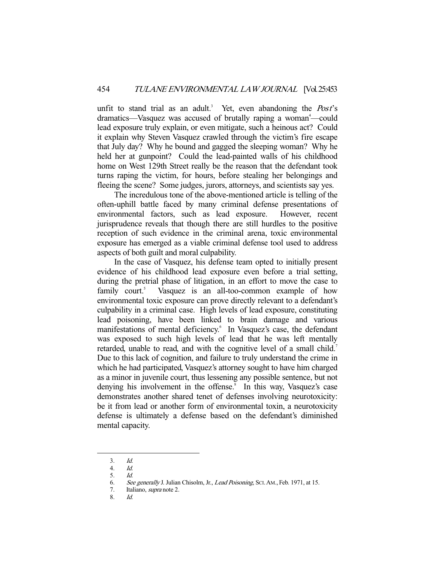unfit to stand trial as an adult.<sup>3</sup> Yet, even abandoning the  $Post$ 's dramatics—Vasquez was accused of brutally raping a woman<sup>4</sup>—could lead exposure truly explain, or even mitigate, such a heinous act? Could it explain why Steven Vasquez crawled through the victim's fire escape that July day? Why he bound and gagged the sleeping woman? Why he held her at gunpoint? Could the lead-painted walls of his childhood home on West 129th Street really be the reason that the defendant took turns raping the victim, for hours, before stealing her belongings and fleeing the scene? Some judges, jurors, attorneys, and scientists say yes.

 The incredulous tone of the above-mentioned article is telling of the often-uphill battle faced by many criminal defense presentations of environmental factors, such as lead exposure. However, recent jurisprudence reveals that though there are still hurdles to the positive reception of such evidence in the criminal arena, toxic environmental exposure has emerged as a viable criminal defense tool used to address aspects of both guilt and moral culpability.

 In the case of Vasquez, his defense team opted to initially present evidence of his childhood lead exposure even before a trial setting, during the pretrial phase of litigation, in an effort to move the case to family court. $5$  Vasquez is an all-too-common example of how environmental toxic exposure can prove directly relevant to a defendant's culpability in a criminal case. High levels of lead exposure, constituting lead poisoning, have been linked to brain damage and various manifestations of mental deficiency.<sup>6</sup> In Vasquez's case, the defendant was exposed to such high levels of lead that he was left mentally retarded, unable to read, and with the cognitive level of a small child.<sup>7</sup> Due to this lack of cognition, and failure to truly understand the crime in which he had participated, Vasquez's attorney sought to have him charged as a minor in juvenile court, thus lessening any possible sentence, but not denying his involvement in the offense.<sup>8</sup> In this way, Vasquez's case demonstrates another shared tenet of defenses involving neurotoxicity: be it from lead or another form of environmental toxin, a neurotoxicity defense is ultimately a defense based on the defendant's diminished mental capacity.

-

8. Id.

 <sup>3.</sup> Id.

 <sup>4.</sup> Id.

 <sup>5.</sup> Id.

 <sup>6.</sup> See generally J. Julian Chisolm, Jr., Lead Poisoning, SCI.AM., Feb. 1971, at 15.

 <sup>7.</sup> Italiano, supra note 2.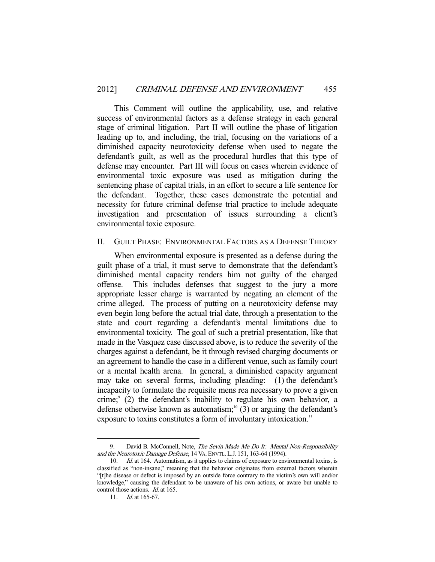This Comment will outline the applicability, use, and relative success of environmental factors as a defense strategy in each general stage of criminal litigation. Part II will outline the phase of litigation leading up to, and including, the trial, focusing on the variations of a diminished capacity neurotoxicity defense when used to negate the defendant's guilt, as well as the procedural hurdles that this type of defense may encounter. Part III will focus on cases wherein evidence of environmental toxic exposure was used as mitigation during the sentencing phase of capital trials, in an effort to secure a life sentence for the defendant. Together, these cases demonstrate the potential and necessity for future criminal defense trial practice to include adequate investigation and presentation of issues surrounding a client's environmental toxic exposure.

#### II. GUILT PHASE: ENVIRONMENTAL FACTORS AS A DEFENSE THEORY

 When environmental exposure is presented as a defense during the guilt phase of a trial, it must serve to demonstrate that the defendant's diminished mental capacity renders him not guilty of the charged offense. This includes defenses that suggest to the jury a more appropriate lesser charge is warranted by negating an element of the crime alleged. The process of putting on a neurotoxicity defense may even begin long before the actual trial date, through a presentation to the state and court regarding a defendant's mental limitations due to environmental toxicity. The goal of such a pretrial presentation, like that made in the Vasquez case discussed above, is to reduce the severity of the charges against a defendant, be it through revised charging documents or an agreement to handle the case in a different venue, such as family court or a mental health arena. In general, a diminished capacity argument may take on several forms, including pleading: (1) the defendant's incapacity to formulate the requisite mens rea necessary to prove a given crime; $\degree$  (2) the defendant's inability to regulate his own behavior, a defense otherwise known as automatism;<sup>10</sup> (3) or arguing the defendant's exposure to toxins constitutes a form of involuntary intoxication.<sup>11</sup>

<sup>9.</sup> David B. McConnell, Note, The Sevin Made Me Do It: Mental Non-Responsibility and the Neurotoxic Damage Defense, 14 VA. ENVTL. L.J. 151, 163-64 (1994).

<sup>10.</sup> *Id.* at 164. Automatism, as it applies to claims of exposure to environmental toxins, is classified as "non-insane," meaning that the behavior originates from external factors wherein "[t]he disease or defect is imposed by an outside force contrary to the victim's own will and/or knowledge," causing the defendant to be unaware of his own actions, or aware but unable to control those actions. Id. at 165.

<sup>11.</sup> *Id.* at 165-67.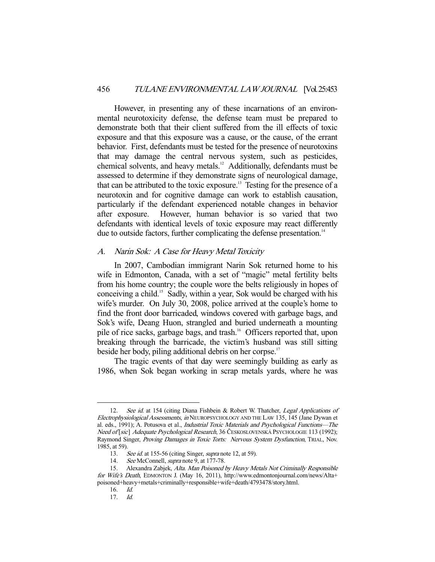However, in presenting any of these incarnations of an environmental neurotoxicity defense, the defense team must be prepared to demonstrate both that their client suffered from the ill effects of toxic exposure and that this exposure was a cause, or the cause, of the errant behavior. First, defendants must be tested for the presence of neurotoxins that may damage the central nervous system, such as pesticides, chemical solvents, and heavy metals.12 Additionally, defendants must be assessed to determine if they demonstrate signs of neurological damage, that can be attributed to the toxic exposure.<sup>13</sup> Testing for the presence of a neurotoxin and for cognitive damage can work to establish causation, particularly if the defendant experienced notable changes in behavior after exposure. However, human behavior is so varied that two defendants with identical levels of toxic exposure may react differently due to outside factors, further complicating the defense presentation.<sup>14</sup>

#### A. Narin Sok: A Case for Heavy Metal Toxicity

 In 2007, Cambodian immigrant Narin Sok returned home to his wife in Edmonton, Canada, with a set of "magic" metal fertility belts from his home country; the couple wore the belts religiously in hopes of conceiving a child.15 Sadly, within a year, Sok would be charged with his wife's murder. On July 30, 2008, police arrived at the couple's home to find the front door barricaded, windows covered with garbage bags, and Sok's wife, Deang Huon, strangled and buried underneath a mounting pile of rice sacks, garbage bags, and trash.<sup>16</sup> Officers reported that, upon breaking through the barricade, the victim's husband was still sitting beside her body, piling additional debris on her corpse.<sup>17</sup>

 The tragic events of that day were seemingly building as early as 1986, when Sok began working in scrap metals yards, where he was

16. Id.

<sup>12.</sup> See id. at 154 (citing Diana Fishbein & Robert W. Thatcher, Legal Applications of Electrophysiological Assessments, in NEUROPSYCHOLOGY AND THE LAW 135, 145 (Jane Dywan et al. eds., 1991); A. Potusova et al., Industrial Toxic Materials and Psychological Functions—The Need of [sic] Adequate Psychological Research, 36 ČESKOSLOVENSKÁ PSYCHOLOGIE 113 (1992); Raymond Singer, Proving Damages in Toxic Torts: Nervous System Dysfunction, TRIAL, Nov. 1985, at 59).

<sup>13.</sup> See id. at 155-56 (citing Singer, supra note 12, at 59).

<sup>14.</sup> See McConnell, supra note 9, at 177-78.

 <sup>15.</sup> Alexandra Zabjek, Alta. Man Poisoned by Heavy Metals Not Criminally Responsible for Wife's Death, EDMONTON J. (May 16, 2011), http://www.edmontonjournal.com/news/Alta+ poisoned+heavy+metals+criminally+responsible+wife+death/4793478/story.html.

 <sup>17.</sup> Id.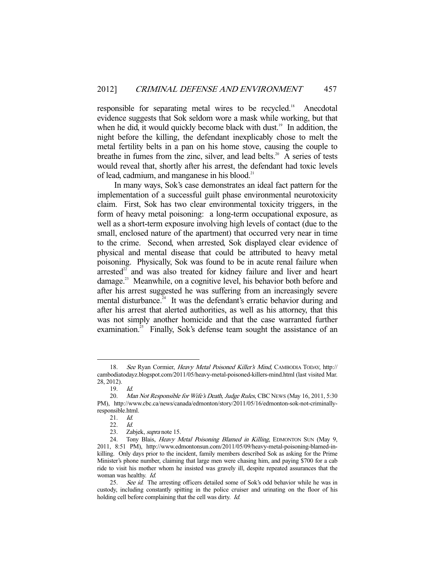responsible for separating metal wires to be recycled.<sup>18</sup> Anecdotal evidence suggests that Sok seldom wore a mask while working, but that when he did, it would quickly become black with dust.<sup>19</sup> In addition, the night before the killing, the defendant inexplicably chose to melt the metal fertility belts in a pan on his home stove, causing the couple to breathe in fumes from the zinc, silver, and lead belts.<sup>20</sup> A series of tests would reveal that, shortly after his arrest, the defendant had toxic levels of lead, cadmium, and manganese in his blood.<sup>21</sup>

 In many ways, Sok's case demonstrates an ideal fact pattern for the implementation of a successful guilt phase environmental neurotoxicity claim. First, Sok has two clear environmental toxicity triggers, in the form of heavy metal poisoning: a long-term occupational exposure, as well as a short-term exposure involving high levels of contact (due to the small, enclosed nature of the apartment) that occurred very near in time to the crime. Second, when arrested, Sok displayed clear evidence of physical and mental disease that could be attributed to heavy metal poisoning. Physically, Sok was found to be in acute renal failure when arrested $22$  and was also treated for kidney failure and liver and heart damage.<sup>23</sup> Meanwhile, on a cognitive level, his behavior both before and after his arrest suggested he was suffering from an increasingly severe mental disturbance.<sup>24</sup> It was the defendant's erratic behavior during and after his arrest that alerted authorities, as well as his attorney, that this was not simply another homicide and that the case warranted further examination.<sup>25</sup> Finally, Sok's defense team sought the assistance of an

 <sup>18.</sup> See Ryan Cormier, Heavy Metal Poisoned Killer's Mind, CAMBODIA TODAY, http:// cambodiatodayz.blogspot.com/2011/05/heavy-metal-poisoned-killers-mind.html (last visited Mar. 28, 2012).

 <sup>19.</sup> Id.

<sup>20.</sup> Man Not Responsible for Wife's Death, Judge Rules, CBC NEWS (May 16, 2011, 5:30 PM), http://www.cbc.ca/news/canada/edmonton/story/2011/05/16/edmonton-sok-not-criminallyresponsible.html.

 <sup>21.</sup> Id.

<sup>22.</sup> *Id.*<br>23. Za

Zabjek, *supra* note 15.

<sup>24.</sup> Tony Blais, Heavy Metal Poisoning Blamed in Killing, EDMONTON SUN (May 9, 2011, 8:51 PM), http://www.edmontonsun.com/2011/05/09/heavy-metal-poisoning-blamed-inkilling. Only days prior to the incident, family members described Sok as asking for the Prime Minister's phone number, claiming that large men were chasing him, and paying \$700 for a cab ride to visit his mother whom he insisted was gravely ill, despite repeated assurances that the woman was healthy. Id.

<sup>25.</sup> See id. The arresting officers detailed some of Sok's odd behavior while he was in custody, including constantly spitting in the police cruiser and urinating on the floor of his holding cell before complaining that the cell was dirty. *Id.*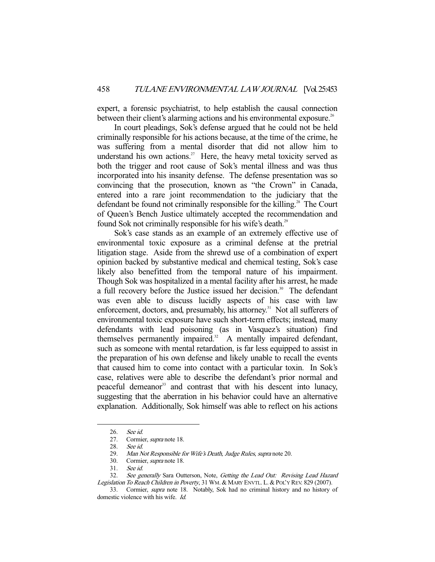expert, a forensic psychiatrist, to help establish the causal connection between their client's alarming actions and his environmental exposure.<sup>26</sup>

 In court pleadings, Sok's defense argued that he could not be held criminally responsible for his actions because, at the time of the crime, he was suffering from a mental disorder that did not allow him to understand his own actions.<sup>27</sup> Here, the heavy metal toxicity served as both the trigger and root cause of Sok's mental illness and was thus incorporated into his insanity defense. The defense presentation was so convincing that the prosecution, known as "the Crown" in Canada, entered into a rare joint recommendation to the judiciary that the defendant be found not criminally responsible for the killing.<sup>28</sup> The Court of Queen's Bench Justice ultimately accepted the recommendation and found Sok not criminally responsible for his wife's death.<sup>29</sup>

 Sok's case stands as an example of an extremely effective use of environmental toxic exposure as a criminal defense at the pretrial litigation stage. Aside from the shrewd use of a combination of expert opinion backed by substantive medical and chemical testing, Sok's case likely also benefitted from the temporal nature of his impairment. Though Sok was hospitalized in a mental facility after his arrest, he made a full recovery before the Justice issued her decision.<sup>30</sup> The defendant was even able to discuss lucidly aspects of his case with law enforcement, doctors, and, presumably, his attorney.<sup>31</sup> Not all sufferers of environmental toxic exposure have such short-term effects; instead, many defendants with lead poisoning (as in Vasquez's situation) find themselves permanently impaired.<sup>32</sup> A mentally impaired defendant, such as someone with mental retardation, is far less equipped to assist in the preparation of his own defense and likely unable to recall the events that caused him to come into contact with a particular toxin. In Sok's case, relatives were able to describe the defendant's prior normal and peaceful demeanor<sup>33</sup> and contrast that with his descent into lunacy, suggesting that the aberration in his behavior could have an alternative explanation. Additionally, Sok himself was able to reflect on his actions

 <sup>26.</sup> See id.

<sup>27.</sup> Cormier, *supra* note 18.<br>28. See id.

<sup>28.</sup> See id.<br>29. Man N

Man Not Responsible for Wife's Death, Judge Rules, supra note 20.

 <sup>30.</sup> Cormier, supra note 18.

 <sup>31.</sup> See id.

<sup>32.</sup> See generally Sara Outterson, Note, Getting the Lead Out: Revising Lead Hazard Legislation To Reach Children in Poverty, 31 WM. & MARY ENVTL. L. & POL'Y REV. 829 (2007).

 <sup>33.</sup> Cormier, supra note 18. Notably, Sok had no criminal history and no history of domestic violence with his wife. Id.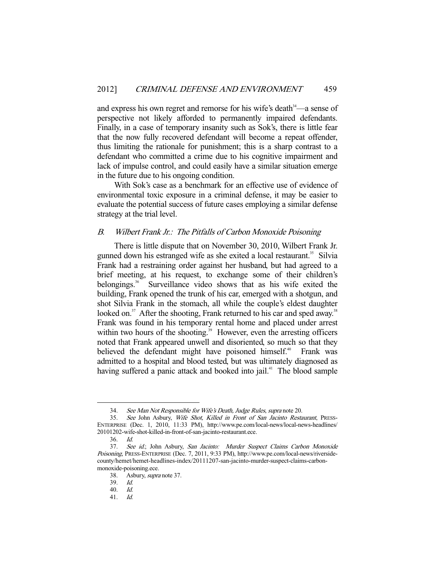and express his own regret and remorse for his wife's death $34$ —a sense of perspective not likely afforded to permanently impaired defendants. Finally, in a case of temporary insanity such as Sok's, there is little fear that the now fully recovered defendant will become a repeat offender, thus limiting the rationale for punishment; this is a sharp contrast to a defendant who committed a crime due to his cognitive impairment and lack of impulse control, and could easily have a similar situation emerge in the future due to his ongoing condition.

 With Sok's case as a benchmark for an effective use of evidence of environmental toxic exposure in a criminal defense, it may be easier to evaluate the potential success of future cases employing a similar defense strategy at the trial level.

### B. Wilbert Frank Jr.: The Pitfalls of Carbon Monoxide Poisoning

 There is little dispute that on November 30, 2010, Wilbert Frank Jr. gunned down his estranged wife as she exited a local restaurant.<sup>35</sup> Silvia Frank had a restraining order against her husband, but had agreed to a brief meeting, at his request, to exchange some of their children's belongings.<sup>36</sup> Surveillance video shows that as his wife exited the building, Frank opened the trunk of his car, emerged with a shotgun, and shot Silvia Frank in the stomach, all while the couple's eldest daughter looked on.<sup>37</sup> After the shooting, Frank returned to his car and sped away.<sup>38</sup> Frank was found in his temporary rental home and placed under arrest within two hours of the shooting.<sup>39</sup> However, even the arresting officers noted that Frank appeared unwell and disoriented, so much so that they believed the defendant might have poisoned himself.<sup>40</sup> Frank was admitted to a hospital and blood tested, but was ultimately diagnosed as having suffered a panic attack and booked into jail.<sup>41</sup> The blood sample

 <sup>34.</sup> See Man Not Responsible for Wife's Death, Judge Rules, supra note 20.

 <sup>35.</sup> See John Asbury, Wife Shot, Killed in Front of San Jacinto Restaurant, PRESS-ENTERPRISE (Dec. 1, 2010, 11:33 PM), http://www.pe.com/local-news/local-news-headlines/ 20101202-wife-shot-killed-in-front-of-san-jacinto-restaurant.ece.

 <sup>36.</sup> Id.

<sup>37.</sup> See id.; John Asbury, San Jacinto: Murder Suspect Claims Carbon Monoxide Poisoning, PRESS-ENTERPRISE (Dec. 7, 2011, 9:33 PM), http://www.pe.com/local-news/riversidecounty/hemet/hemet-headlines-index/20111207-san-jacinto-murder-suspect-claims-carbonmonoxide-poisoning.ece.

 <sup>38.</sup> Asbury, supra note 37.

 <sup>39.</sup> Id.

 <sup>40.</sup> Id.

 <sup>41.</sup> Id.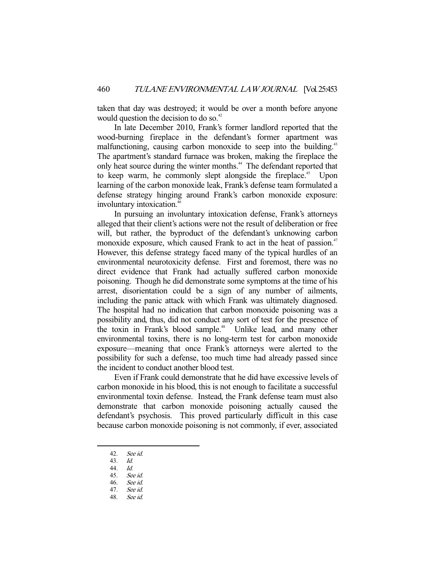taken that day was destroyed; it would be over a month before anyone would question the decision to do so.<sup>42</sup>

 In late December 2010, Frank's former landlord reported that the wood-burning fireplace in the defendant's former apartment was malfunctioning, causing carbon monoxide to seep into the building.<sup>43</sup> The apartment's standard furnace was broken, making the fireplace the only heat source during the winter months.<sup>44</sup> The defendant reported that to keep warm, he commonly slept alongside the fireplace.<sup>45</sup> Upon learning of the carbon monoxide leak, Frank's defense team formulated a defense strategy hinging around Frank's carbon monoxide exposure: involuntary intoxication.<sup>46</sup>

 In pursuing an involuntary intoxication defense, Frank's attorneys alleged that their client's actions were not the result of deliberation or free will, but rather, the byproduct of the defendant's unknowing carbon monoxide exposure, which caused Frank to act in the heat of passion.<sup>47</sup> However, this defense strategy faced many of the typical hurdles of an environmental neurotoxicity defense. First and foremost, there was no direct evidence that Frank had actually suffered carbon monoxide poisoning. Though he did demonstrate some symptoms at the time of his arrest, disorientation could be a sign of any number of ailments, including the panic attack with which Frank was ultimately diagnosed. The hospital had no indication that carbon monoxide poisoning was a possibility and, thus, did not conduct any sort of test for the presence of the toxin in Frank's blood sample.<sup>48</sup> Unlike lead, and many other environmental toxins, there is no long-term test for carbon monoxide exposure—meaning that once Frank's attorneys were alerted to the possibility for such a defense, too much time had already passed since the incident to conduct another blood test.

 Even if Frank could demonstrate that he did have excessive levels of carbon monoxide in his blood, this is not enough to facilitate a successful environmental toxin defense. Instead, the Frank defense team must also demonstrate that carbon monoxide poisoning actually caused the defendant's psychosis. This proved particularly difficult in this case because carbon monoxide poisoning is not commonly, if ever, associated

 <sup>42.</sup> See id.

 <sup>43.</sup> Id.

 <sup>44.</sup> Id.

 <sup>45.</sup> See id.

 <sup>46.</sup> See id.

 <sup>47.</sup> See id.

 <sup>48.</sup> See id.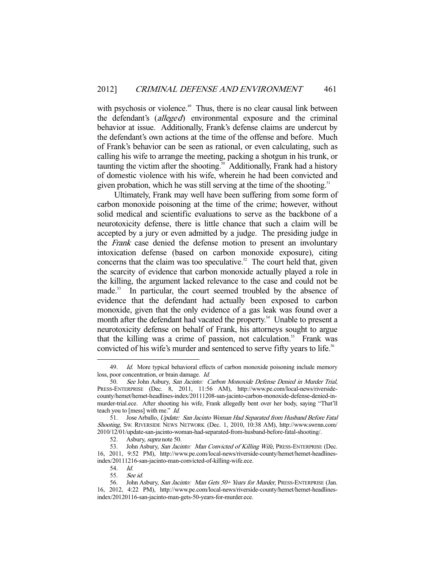with psychosis or violence.<sup>49</sup> Thus, there is no clear causal link between the defendant's (alleged) environmental exposure and the criminal behavior at issue. Additionally, Frank's defense claims are undercut by the defendant's own actions at the time of the offense and before. Much of Frank's behavior can be seen as rational, or even calculating, such as calling his wife to arrange the meeting, packing a shotgun in his trunk, or taunting the victim after the shooting.<sup>50</sup> Additionally, Frank had a history of domestic violence with his wife, wherein he had been convicted and given probation, which he was still serving at the time of the shooting.<sup>51</sup>

 Ultimately, Frank may well have been suffering from some form of carbon monoxide poisoning at the time of the crime; however, without solid medical and scientific evaluations to serve as the backbone of a neurotoxicity defense, there is little chance that such a claim will be accepted by a jury or even admitted by a judge. The presiding judge in the Frank case denied the defense motion to present an involuntary intoxication defense (based on carbon monoxide exposure), citing concerns that the claim was too speculative. $52$  The court held that, given the scarcity of evidence that carbon monoxide actually played a role in the killing, the argument lacked relevance to the case and could not be made.<sup>53</sup> In particular, the court seemed troubled by the absence of evidence that the defendant had actually been exposed to carbon monoxide, given that the only evidence of a gas leak was found over a month after the defendant had vacated the property.<sup>54</sup> Unable to present a neurotoxicity defense on behalf of Frank, his attorneys sought to argue that the killing was a crime of passion, not calculation.<sup>55</sup> Frank was convicted of his wife's murder and sentenced to serve fifty years to life.<sup>56</sup>

<sup>49.</sup> Id. More typical behavioral effects of carbon monoxide poisoning include memory loss, poor concentration, or brain damage. Id.

<sup>50.</sup> See John Asbury, San Jacinto: Carbon Monoxide Defense Denied in Murder Trial, PRESS-ENTERPRISE (Dec. 8, 2011, 11:56 AM), http://www.pe.com/local-news/riversidecounty/hemet/hemet-headlines-index/20111208-san-jacinto-carbon-monoxide-defense-denied-inmurder-trial.ece. After shooting his wife, Frank allegedly bent over her body, saying "That'll teach you to [mess] with me." Id.

<sup>51.</sup> Jose Arballo, Update: San Jacinto Woman Had Separated from Husband Before Fatal Shooting, SW. RIVERSIDE NEWS NETWORK (Dec. 1, 2010, 10:38 AM), http://www.swrnn.com/ 2010/12/01/update-san-jacinto-woman-had-separated-from-husband-before-fatal-shooting/.

 <sup>52.</sup> Asbury, supra note 50.

<sup>53.</sup> John Asbury, San Jacinto: Man Convicted of Killing Wife, PRESS-ENTERPRISE (Dec. 16, 2011, 9:52 PM), http://www.pe.com/local-news/riverside-county/hemet/hemet-headlinesindex/20111216-san-jacinto-man-convicted-of-killing-wife.ece.

 <sup>54.</sup> Id.

 <sup>55.</sup> See id.

<sup>56.</sup> John Asbury, San Jacinto: Man Gets 50+ Years for Murder, PRESS-ENTERPRISE (Jan. 16, 2012, 4:22 PM), http://www.pe.com/local-news/riverside-county/hemet/hemet-headlinesindex/20120116-san-jacinto-man-gets-50-years-for-murder.ece.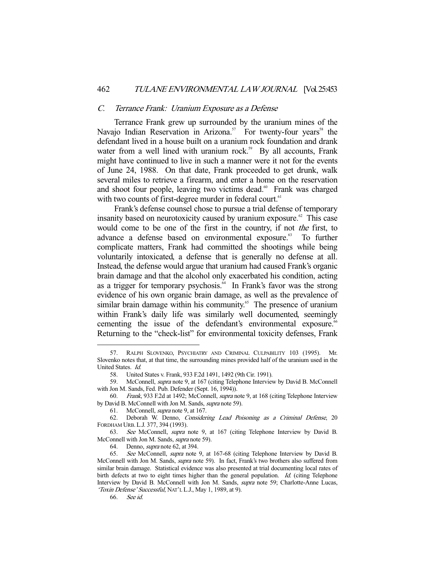#### C. Terrance Frank: Uranium Exposure as a Defense

 Terrance Frank grew up surrounded by the uranium mines of the Navajo Indian Reservation in Arizona.<sup>57</sup> For twenty-four years<sup>58</sup> the defendant lived in a house built on a uranium rock foundation and drank water from a well lined with uranium rock.<sup>59</sup> By all accounts, Frank might have continued to live in such a manner were it not for the events of June 24, 1988. On that date, Frank proceeded to get drunk, walk several miles to retrieve a firearm, and enter a home on the reservation and shoot four people, leaving two victims dead.<sup>60</sup> Frank was charged with two counts of first-degree murder in federal court.<sup>61</sup>

 Frank's defense counsel chose to pursue a trial defense of temporary insanity based on neurotoxicity caused by uranium exposure.<sup> $62$ </sup> This case would come to be one of the first in the country, if not the first, to advance a defense based on environmental exposure.<sup>63</sup> To further complicate matters, Frank had committed the shootings while being voluntarily intoxicated, a defense that is generally no defense at all. Instead, the defense would argue that uranium had caused Frank's organic brain damage and that the alcohol only exacerbated his condition, acting as a trigger for temporary psychosis.<sup>64</sup> In Frank's favor was the strong evidence of his own organic brain damage, as well as the prevalence of similar brain damage within his community.<sup>65</sup> The presence of uranium within Frank's daily life was similarly well documented, seemingly cementing the issue of the defendant's environmental exposure.<sup>66</sup> Returning to the "check-list" for environmental toxicity defenses, Frank

 <sup>57.</sup> RALPH SLOVENKO, PSYCHIATRY AND CRIMINAL CULPABILITY 103 (1995). Mr. Slovenko notes that, at that time, the surrounding mines provided half of the uranium used in the United States. Id.

 <sup>58.</sup> United States v. Frank, 933 F.2d 1491, 1492 (9th Cir. 1991).

 <sup>59.</sup> McConnell, supra note 9, at 167 (citing Telephone Interview by David B. McConnell with Jon M. Sands, Fed. Pub. Defender (Sept. 16, 1994)).

 <sup>60.</sup> Frank, 933 F.2d at 1492; McConnell, supra note 9, at 168 (citing Telephone Interview by David B. McConnell with Jon M. Sands, supra note 59).

 <sup>61.</sup> McConnell, supra note 9, at 167.

<sup>62.</sup> Deborah W. Denno, Considering Lead Poisoning as a Criminal Defense, 20 FORDHAM URB. L.J. 377, 394 (1993).

 <sup>63.</sup> See McConnell, supra note 9, at 167 (citing Telephone Interview by David B. McConnell with Jon M. Sands, supra note 59).

 <sup>64.</sup> Denno, supra note 62, at 394.

<sup>65.</sup> See McConnell, supra note 9, at 167-68 (citing Telephone Interview by David B. McConnell with Jon M. Sands, supra note 59). In fact, Frank's two brothers also suffered from similar brain damage. Statistical evidence was also presented at trial documenting local rates of birth defects at two to eight times higher than the general population. Id. (citing Telephone Interview by David B. McConnell with Jon M. Sands, supra note 59; Charlotte-Anne Lucas, 'Toxin Defense' Successful, NAT'L L.J., May 1, 1989, at 9).

 <sup>66.</sup> See id.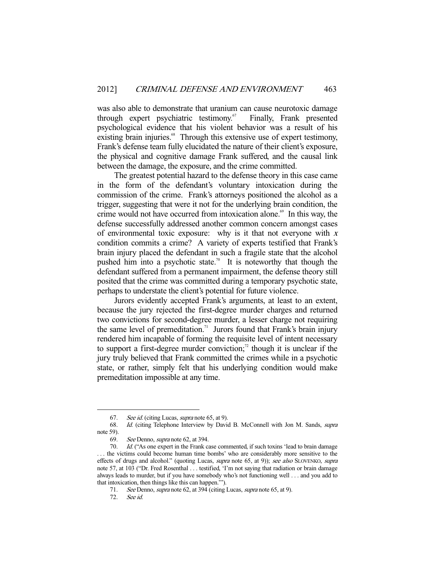was also able to demonstrate that uranium can cause neurotoxic damage through expert psychiatric testimony.<sup>67</sup> Finally, Frank presented psychological evidence that his violent behavior was a result of his existing brain injuries.<sup>68</sup> Through this extensive use of expert testimony, Frank's defense team fully elucidated the nature of their client's exposure, the physical and cognitive damage Frank suffered, and the causal link between the damage, the exposure, and the crime committed.

 The greatest potential hazard to the defense theory in this case came in the form of the defendant's voluntary intoxication during the commission of the crime. Frank's attorneys positioned the alcohol as a trigger, suggesting that were it not for the underlying brain condition, the crime would not have occurred from intoxication alone.<sup>69</sup> In this way, the defense successfully addressed another common concern amongst cases of environmental toxic exposure: why is it that not everyone with  $x$ condition commits a crime? A variety of experts testified that Frank's brain injury placed the defendant in such a fragile state that the alcohol pushed him into a psychotic state.<sup>70</sup> It is noteworthy that though the defendant suffered from a permanent impairment, the defense theory still posited that the crime was committed during a temporary psychotic state, perhaps to understate the client's potential for future violence.

 Jurors evidently accepted Frank's arguments, at least to an extent, because the jury rejected the first-degree murder charges and returned two convictions for second-degree murder, a lesser charge not requiring the same level of premeditation.<sup>71</sup> Jurors found that Frank's brain injury rendered him incapable of forming the requisite level of intent necessary to support a first-degree murder conviction; $\alpha$ <sup>2</sup> though it is unclear if the jury truly believed that Frank committed the crimes while in a psychotic state, or rather, simply felt that his underlying condition would make premeditation impossible at any time.

 <sup>67.</sup> See id. (citing Lucas, supra note 65, at 9).

 <sup>68.</sup> Id. (citing Telephone Interview by David B. McConnell with Jon M. Sands, supra note 59).

 <sup>69.</sup> See Denno, supra note 62, at 394.

 <sup>70.</sup> Id. ("As one expert in the Frank case commented, if such toxins 'lead to brain damage . . . the victims could become human time bombs' who are considerably more sensitive to the effects of drugs and alcohol." (quoting Lucas, *supra* note 65, at 9)); see also SLOVENKO, supra note 57, at 103 ("Dr. Fred Rosenthal . . . testified, 'I'm not saying that radiation or brain damage always leads to murder, but if you have somebody who's not functioning well . . . and you add to that intoxication, then things like this can happen.'").

<sup>71.</sup> See Denno, *supra* note 62, at 394 (citing Lucas, *supra* note 65, at 9).<br>72. See id.

See id.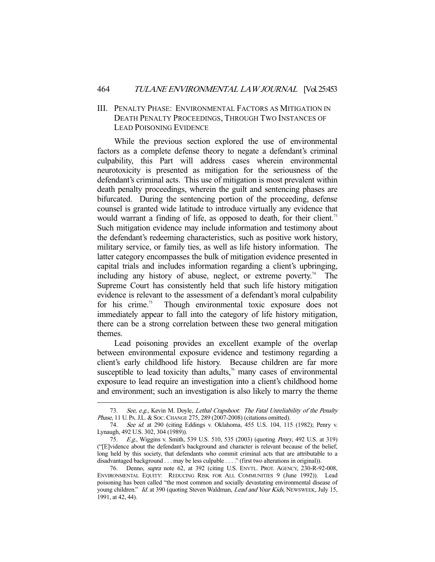## III. PENALTY PHASE: ENVIRONMENTAL FACTORS AS MITIGATION IN DEATH PENALTY PROCEEDINGS, THROUGH TWO INSTANCES OF LEAD POISONING EVIDENCE

 While the previous section explored the use of environmental factors as a complete defense theory to negate a defendant's criminal culpability, this Part will address cases wherein environmental neurotoxicity is presented as mitigation for the seriousness of the defendant's criminal acts. This use of mitigation is most prevalent within death penalty proceedings, wherein the guilt and sentencing phases are bifurcated. During the sentencing portion of the proceeding, defense counsel is granted wide latitude to introduce virtually any evidence that would warrant a finding of life, as opposed to death, for their client.<sup>73</sup> Such mitigation evidence may include information and testimony about the defendant's redeeming characteristics, such as positive work history, military service, or family ties, as well as life history information. The latter category encompasses the bulk of mitigation evidence presented in capital trials and includes information regarding a client's upbringing, including any history of abuse, neglect, or extreme poverty.<sup>74</sup> The Supreme Court has consistently held that such life history mitigation evidence is relevant to the assessment of a defendant's moral culpability for his crime.<sup>75</sup> Though environmental toxic exposure does not immediately appear to fall into the category of life history mitigation, there can be a strong correlation between these two general mitigation themes.

 Lead poisoning provides an excellent example of the overlap between environmental exposure evidence and testimony regarding a client's early childhood life history. Because children are far more susceptible to lead toxicity than adults, $\frac{76}{6}$  many cases of environmental exposure to lead require an investigation into a client's childhood home and environment; such an investigation is also likely to marry the theme

<sup>73.</sup> See, e.g., Kevin M. Doyle, Lethal Crapshoot: The Fatal Unreliability of the Penalty Phase, 11 U. PA. J.L. & Soc. CHANGE 275, 289 (2007-2008) (citations omitted).

<sup>74.</sup> See id. at 290 (citing Eddings v. Oklahoma, 455 U.S. 104, 115 (1982); Penry v. Lynaugh, 492 U.S. 302, 304 (1989)).

 <sup>75.</sup> E.g., Wiggins v. Smith, 539 U.S. 510, 535 (2003) (quoting Penry, 492 U.S. at 319) ("[E]vidence about the defendant's background and character is relevant because of the belief, long held by this society, that defendants who commit criminal acts that are attributable to a disadvantaged background . . . may be less culpable . . . ." (first two alterations in original)).

<sup>76.</sup> Denno, *supra* note 62, at 392 (citing U.S. ENVTL. PROT. AGENCY, 230-R-92-008, ENVIRONMENTAL EQUITY: REDUCING RISK FOR ALL COMMUNITIES 9 (June 1992)). Lead poisoning has been called "the most common and socially devastating environmental disease of young children." Id. at 390 (quoting Steven Waldman, *Lead and Your Kids*, NEWSWEEK, July 15, 1991, at 42, 44).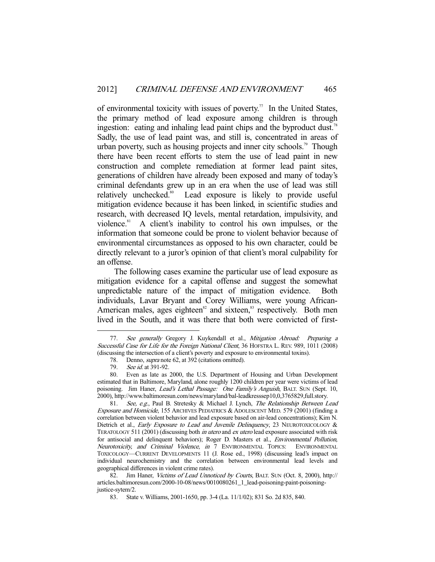of environmental toxicity with issues of poverty.<sup>77</sup> In the United States, the primary method of lead exposure among children is through ingestion: eating and inhaling lead paint chips and the byproduct dust.<sup>78</sup> Sadly, the use of lead paint was, and still is, concentrated in areas of urban poverty, such as housing projects and inner city schools.<sup>79</sup> Though there have been recent efforts to stem the use of lead paint in new construction and complete remediation at former lead paint sites, generations of children have already been exposed and many of today's criminal defendants grew up in an era when the use of lead was still relatively unchecked.<sup>80</sup> Lead exposure is likely to provide useful mitigation evidence because it has been linked, in scientific studies and research, with decreased IQ levels, mental retardation, impulsivity, and violence.<sup>81</sup> A client's inability to control his own impulses, or the information that someone could be prone to violent behavior because of environmental circumstances as opposed to his own character, could be directly relevant to a juror's opinion of that client's moral culpability for an offense.

 The following cases examine the particular use of lead exposure as mitigation evidence for a capital offense and suggest the somewhat unpredictable nature of the impact of mitigation evidence. Both individuals, Lavar Bryant and Corey Williams, were young African-American males, ages eighteen $82$  and sixteen, $83$  respectively. Both men lived in the South, and it was there that both were convicted of first-

<sup>77.</sup> See generally Gregory J. Kuykendall et al., Mitigation Abroad: Preparing a Successful Case for Life for the Foreign National Client, 36 HOFSTRA L. REV. 989, 1011 (2008) (discussing the intersection of a client's poverty and exposure to environmental toxins).

<sup>78.</sup> Denno, *supra* note 62, at 392 (citations omitted).<br>79. See id. at 391-92.

<sup>79.</sup> *See id.* at 391-92.<br>80. Even as late as Even as late as 2000, the U.S. Department of Housing and Urban Development estimated that in Baltimore, Maryland, alone roughly 1200 children per year were victims of lead poisoning. Jim Haner, Lead's Lethal Passage: One Family's Anguish, BALT. SUN (Sept. 10, 2000), http://www.baltimoresun.com/news/maryland/bal-leadkresssep10,0,3765829,full.story.

<sup>81.</sup> See, e.g., Paul B. Stretesky & Michael J. Lynch, The Relationship Between Lead Exposure and Homicide, 155 ARCHIVES PEDIATRICS & ADOLESCENT MED. 579 (2001) (finding a correlation between violent behavior and lead exposure based on air-lead concentrations); Kim N. Dietrich et al., Early Exposure to Lead and Juvenile Delinquency, 23 NEUROTOXICOLOGY & TERATOLOGY 511 (2001) (discussing both *in utero* and *ex utero* lead exposure associated with risk for antisocial and delinquent behaviors); Roger D. Masters et al., Environmental Pollution, Neurotoxicity, and Criminal Violence, in 7 ENVIRONMENTAL TOPICS: ENVIRONMENTAL TOXICOLOGY—CURRENT DEVELOPMENTS 11 (J. Rose ed., 1998) (discussing lead's impact on individual neurochemistry and the correlation between environmental lead levels and geographical differences in violent crime rates).

<sup>82.</sup> Jim Haner, Victims of Lead Unnoticed by Courts, BALT. SUN (Oct. 8, 2000), http:// articles.baltimoresun.com/2000-10-08/news/0010080261\_1\_lead-poisoning-paint-poisoningjustice-sytem/2.

 <sup>83.</sup> State v. Williams, 2001-1650, pp. 3-4 (La. 11/1/02); 831 So. 2d 835, 840.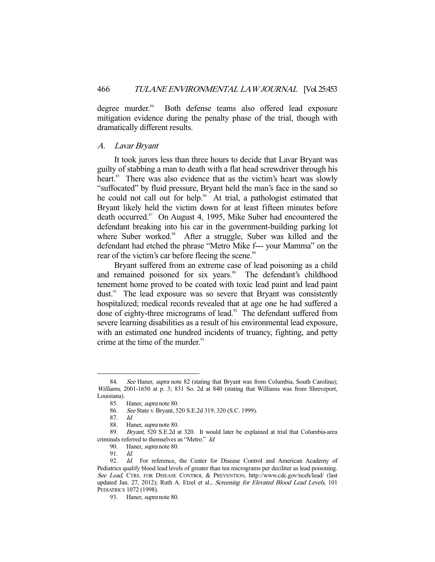degree murder.<sup>84</sup> Both defense teams also offered lead exposure mitigation evidence during the penalty phase of the trial, though with dramatically different results.

#### A. Lavar Bryant

 It took jurors less than three hours to decide that Lavar Bryant was guilty of stabbing a man to death with a flat head screwdriver through his heart.<sup>85</sup> There was also evidence that as the victim's heart was slowly "suffocated" by fluid pressure, Bryant held the man's face in the sand so he could not call out for help.<sup>86</sup> At trial, a pathologist estimated that Bryant likely held the victim down for at least fifteen minutes before death occurred.<sup>87</sup> On August 4, 1995, Mike Suber had encountered the defendant breaking into his car in the government-building parking lot where Suber worked.<sup>88</sup> After a struggle, Suber was killed and the defendant had etched the phrase "Metro Mike f--- your Mamma" on the rear of the victim's car before fleeing the scene.<sup>89</sup>

 Bryant suffered from an extreme case of lead poisoning as a child and remained poisoned for six years.<sup>90</sup> The defendant's childhood tenement home proved to be coated with toxic lead paint and lead paint dust.<sup>91</sup> The lead exposure was so severe that Bryant was consistently hospitalized; medical records revealed that at age one he had suffered a dose of eighty-three micrograms of lead.<sup>92</sup> The defendant suffered from severe learning disabilities as a result of his environmental lead exposure, with an estimated one hundred incidents of truancy, fighting, and petty crime at the time of the murder.<sup>93</sup>

<sup>84.</sup> See Haner, supra note 82 (stating that Bryant was from Columbia, South Carolina); Williams, 2001-1650 at p. 3; 831 So. 2d at 840 (stating that Williams was from Shreveport, Louisiana).

 <sup>85.</sup> Haner, supra note 80.

<sup>86.</sup> See State v. Bryant, 520 S.E.2d 319, 320 (S.C. 1999).

 <sup>87.</sup> Id.

 <sup>88.</sup> Haner, supra note 80.

 <sup>89.</sup> Bryant, 520 S.E.2d at 320. It would later be explained at trial that Columbia-area criminals referred to themselves as "Metro." Id.

 <sup>90.</sup> Haner, supra note 80.

 <sup>91.</sup> Id.

<sup>92.</sup> Id. For reference, the Center for Disease Control and American Academy of Pediatrics qualify blood lead levels of greater than ten micrograms per deciliter as lead poisoning. See Lead, CTRS. FOR DISEASE CONTROL & PREVENTION, http://www.cdc.gov/nceh/lead/ (last updated Jan. 27, 2012); Ruth A. Etzel et al., Screening for Elevated Blood Lead Levels, 101 PEDIATRICS 1072 (1998).

<sup>93.</sup> Haner, *supra* note 80.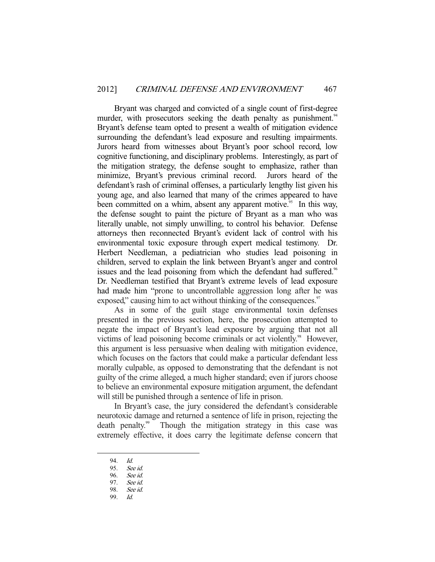Bryant was charged and convicted of a single count of first-degree murder, with prosecutors seeking the death penalty as punishment.<sup>94</sup> Bryant's defense team opted to present a wealth of mitigation evidence surrounding the defendant's lead exposure and resulting impairments. Jurors heard from witnesses about Bryant's poor school record, low cognitive functioning, and disciplinary problems. Interestingly, as part of the mitigation strategy, the defense sought to emphasize, rather than minimize, Bryant's previous criminal record. Jurors heard of the defendant's rash of criminal offenses, a particularly lengthy list given his young age, and also learned that many of the crimes appeared to have been committed on a whim, absent any apparent motive.<sup>95</sup> In this way, the defense sought to paint the picture of Bryant as a man who was literally unable, not simply unwilling, to control his behavior. Defense attorneys then reconnected Bryant's evident lack of control with his environmental toxic exposure through expert medical testimony. Dr. Herbert Needleman, a pediatrician who studies lead poisoning in children, served to explain the link between Bryant's anger and control issues and the lead poisoning from which the defendant had suffered.<sup>96</sup> Dr. Needleman testified that Bryant's extreme levels of lead exposure had made him "prone to uncontrollable aggression long after he was exposed," causing him to act without thinking of the consequences.<sup>97</sup>

 As in some of the guilt stage environmental toxin defenses presented in the previous section, here, the prosecution attempted to negate the impact of Bryant's lead exposure by arguing that not all victims of lead poisoning become criminals or act violently.<sup>98</sup> However, this argument is less persuasive when dealing with mitigation evidence, which focuses on the factors that could make a particular defendant less morally culpable, as opposed to demonstrating that the defendant is not guilty of the crime alleged, a much higher standard; even if jurors choose to believe an environmental exposure mitigation argument, the defendant will still be punished through a sentence of life in prison.

 In Bryant's case, the jury considered the defendant's considerable neurotoxic damage and returned a sentence of life in prison, rejecting the death penalty.<sup>99</sup> Though the mitigation strategy in this case was extremely effective, it does carry the legitimate defense concern that

 <sup>94.</sup> Id.

 <sup>95.</sup> See id.

 <sup>96.</sup> See id.

 <sup>97.</sup> See id.

<sup>98.</sup> *See id.*<br>99. *Id.* 99. Id.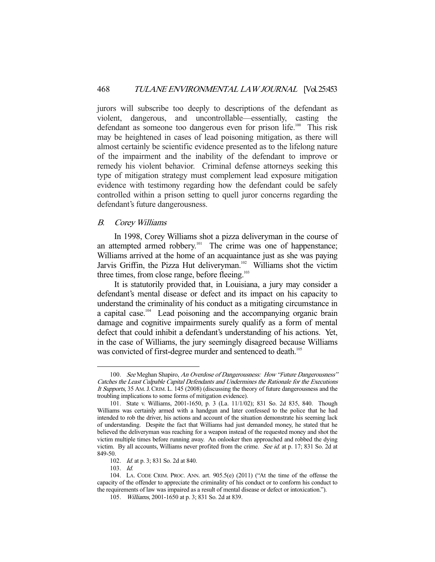jurors will subscribe too deeply to descriptions of the defendant as violent, dangerous, and uncontrollable—essentially, casting the defendant as someone too dangerous even for prison life.<sup>100</sup> This risk may be heightened in cases of lead poisoning mitigation, as there will almost certainly be scientific evidence presented as to the lifelong nature of the impairment and the inability of the defendant to improve or remedy his violent behavior. Criminal defense attorneys seeking this type of mitigation strategy must complement lead exposure mitigation evidence with testimony regarding how the defendant could be safely controlled within a prison setting to quell juror concerns regarding the defendant's future dangerousness.

### B. Corey Williams

 In 1998, Corey Williams shot a pizza deliveryman in the course of an attempted armed robbery.<sup>101</sup> The crime was one of happenstance; Williams arrived at the home of an acquaintance just as she was paying Jarvis Griffin, the Pizza Hut deliveryman.<sup>102</sup> Williams shot the victim three times, from close range, before fleeing.<sup>103</sup>

 It is statutorily provided that, in Louisiana, a jury may consider a defendant's mental disease or defect and its impact on his capacity to understand the criminality of his conduct as a mitigating circumstance in a capital case.<sup>104</sup> Lead poisoning and the accompanying organic brain damage and cognitive impairments surely qualify as a form of mental defect that could inhibit a defendant's understanding of his actions. Yet, in the case of Williams, the jury seemingly disagreed because Williams was convicted of first-degree murder and sentenced to death.<sup>105</sup>

103. Id.

<sup>100.</sup> See Meghan Shapiro, An Overdose of Dangerousness: How "Future Dangerousness" Catches the Least Culpable Capital Defendants and Undermines the Rationale for the Executions It Supports, 35 AM.J. CRIM. L. 145 (2008) (discussing the theory of future dangerousness and the troubling implications to some forms of mitigation evidence).

 <sup>101.</sup> State v. Williams, 2001-1650, p. 3 (La. 11/1/02); 831 So. 2d 835, 840. Though Williams was certainly armed with a handgun and later confessed to the police that he had intended to rob the driver, his actions and account of the situation demonstrate his seeming lack of understanding. Despite the fact that Williams had just demanded money, he stated that he believed the deliveryman was reaching for a weapon instead of the requested money and shot the victim multiple times before running away. An onlooker then approached and robbed the dying victim. By all accounts, Williams never profited from the crime. See id. at p. 17; 831 So. 2d at 849-50.

 <sup>102.</sup> Id. at p. 3; 831 So. 2d at 840.

 <sup>104.</sup> LA. CODE CRIM. PROC. ANN. art. 905.5(e) (2011) ("At the time of the offense the capacity of the offender to appreciate the criminality of his conduct or to conform his conduct to the requirements of law was impaired as a result of mental disease or defect or intoxication.").

 <sup>105.</sup> Williams, 2001-1650 at p. 3; 831 So. 2d at 839.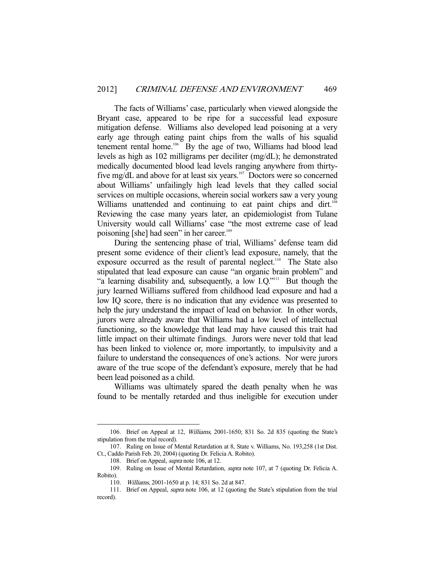The facts of Williams' case, particularly when viewed alongside the Bryant case, appeared to be ripe for a successful lead exposure mitigation defense. Williams also developed lead poisoning at a very early age through eating paint chips from the walls of his squalid tenement rental home.<sup>106</sup> By the age of two, Williams had blood lead levels as high as 102 milligrams per deciliter (mg/dL); he demonstrated medically documented blood lead levels ranging anywhere from thirtyfive mg/dL and above for at least six years.<sup>107</sup> Doctors were so concerned about Williams' unfailingly high lead levels that they called social services on multiple occasions, wherein social workers saw a very young Williams unattended and continuing to eat paint chips and dirt.<sup>108</sup> Reviewing the case many years later, an epidemiologist from Tulane University would call Williams' case "the most extreme case of lead poisoning [she] had seen" in her career.<sup>109</sup>

 During the sentencing phase of trial, Williams' defense team did present some evidence of their client's lead exposure, namely, that the exposure occurred as the result of parental neglect.<sup>110</sup> The State also stipulated that lead exposure can cause "an organic brain problem" and "a learning disability and, subsequently, a low I.Q."<sup>111</sup> But though the jury learned Williams suffered from childhood lead exposure and had a low IQ score, there is no indication that any evidence was presented to help the jury understand the impact of lead on behavior. In other words, jurors were already aware that Williams had a low level of intellectual functioning, so the knowledge that lead may have caused this trait had little impact on their ultimate findings. Jurors were never told that lead has been linked to violence or, more importantly, to impulsivity and a failure to understand the consequences of one's actions. Nor were jurors aware of the true scope of the defendant's exposure, merely that he had been lead poisoned as a child.

 Williams was ultimately spared the death penalty when he was found to be mentally retarded and thus ineligible for execution under

 <sup>106.</sup> Brief on Appeal at 12, Williams, 2001-1650; 831 So. 2d 835 (quoting the State's stipulation from the trial record).

 <sup>107.</sup> Ruling on Issue of Mental Retardation at 8, State v. Williams, No. 193,258 (1st Dist. Ct., Caddo Parish Feb. 20, 2004) (quoting Dr. Felicia A. Robito).

<sup>108.</sup> Brief on Appeal, *supra* note 106, at 12.

 <sup>109.</sup> Ruling on Issue of Mental Retardation, supra note 107, at 7 (quoting Dr. Felicia A. Robito).

 <sup>110.</sup> Williams, 2001-1650 at p. 14; 831 So. 2d at 847.

<sup>111.</sup> Brief on Appeal, *supra* note 106, at 12 (quoting the State's stipulation from the trial record).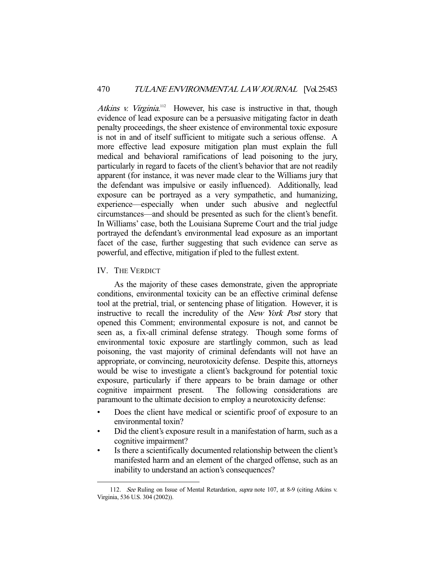Atkins v. Virginia.<sup>112</sup> However, his case is instructive in that, though evidence of lead exposure can be a persuasive mitigating factor in death penalty proceedings, the sheer existence of environmental toxic exposure is not in and of itself sufficient to mitigate such a serious offense. A more effective lead exposure mitigation plan must explain the full medical and behavioral ramifications of lead poisoning to the jury, particularly in regard to facets of the client's behavior that are not readily apparent (for instance, it was never made clear to the Williams jury that the defendant was impulsive or easily influenced). Additionally, lead exposure can be portrayed as a very sympathetic, and humanizing, experience—especially when under such abusive and neglectful circumstances—and should be presented as such for the client's benefit. In Williams' case, both the Louisiana Supreme Court and the trial judge portrayed the defendant's environmental lead exposure as an important facet of the case, further suggesting that such evidence can serve as powerful, and effective, mitigation if pled to the fullest extent.

IV. THE VERDICT

-

 As the majority of these cases demonstrate, given the appropriate conditions, environmental toxicity can be an effective criminal defense tool at the pretrial, trial, or sentencing phase of litigation. However, it is instructive to recall the incredulity of the New York Post story that opened this Comment; environmental exposure is not, and cannot be seen as, a fix-all criminal defense strategy. Though some forms of environmental toxic exposure are startlingly common, such as lead poisoning, the vast majority of criminal defendants will not have an appropriate, or convincing, neurotoxicity defense. Despite this, attorneys would be wise to investigate a client's background for potential toxic exposure, particularly if there appears to be brain damage or other cognitive impairment present. The following considerations are paramount to the ultimate decision to employ a neurotoxicity defense:

- Does the client have medical or scientific proof of exposure to an environmental toxin?
- Did the client's exposure result in a manifestation of harm, such as a cognitive impairment?
- Is there a scientifically documented relationship between the client's manifested harm and an element of the charged offense, such as an inability to understand an action's consequences?

<sup>112.</sup> See Ruling on Issue of Mental Retardation, *supra* note 107, at 8-9 (citing Atkins v. Virginia, 536 U.S. 304 (2002)).